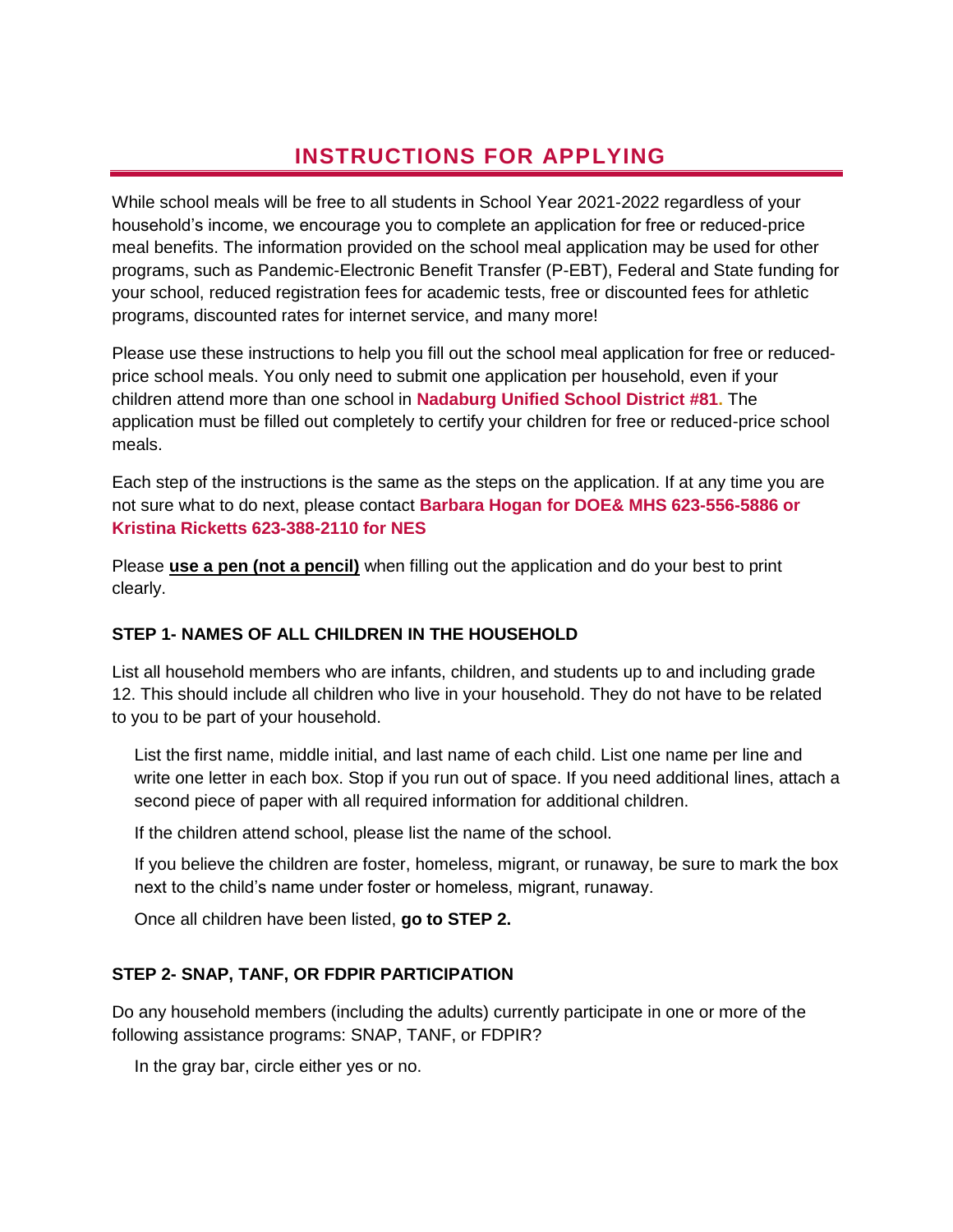# **INSTRUCTIONS FOR APPLYING**

While school meals will be free to all students in School Year 2021-2022 regardless of your household's income, we encourage you to complete an application for free or reduced-price meal benefits. The information provided on the school meal application may be used for other programs, such as Pandemic-Electronic Benefit Transfer (P-EBT), Federal and State funding for your school, reduced registration fees for academic tests, free or discounted fees for athletic programs, discounted rates for internet service, and many more!

Please use these instructions to help you fill out the school meal application for free or reducedprice school meals. You only need to submit one application per household, even if your children attend more than one school in **Nadaburg Unified School District #81.** The application must be filled out completely to certify your children for free or reduced-price school meals.

Each step of the instructions is the same as the steps on the application. If at any time you are not sure what to do next, please contact **Barbara Hogan for DOE& MHS 623-556-5886 or Kristina Ricketts 623-388-2110 for NES**

Please **use a pen (not a pencil)** when filling out the application and do your best to print clearly.

# **STEP 1- NAMES OF ALL CHILDREN IN THE HOUSEHOLD**

List all household members who are infants, children, and students up to and including grade 12. This should include all children who live in your household. They do not have to be related to you to be part of your household.

List the first name, middle initial, and last name of each child. List one name per line and write one letter in each box. Stop if you run out of space. If you need additional lines, attach a second piece of paper with all required information for additional children.

If the children attend school, please list the name of the school.

If you believe the children are foster, homeless, migrant, or runaway, be sure to mark the box next to the child's name under foster or homeless, migrant, runaway.

Once all children have been listed, **go to STEP 2.** 

# **STEP 2- SNAP, TANF, OR FDPIR PARTICIPATION**

Do any household members (including the adults) currently participate in one or more of the following assistance programs: SNAP, TANF, or FDPIR?

In the gray bar, circle either yes or no.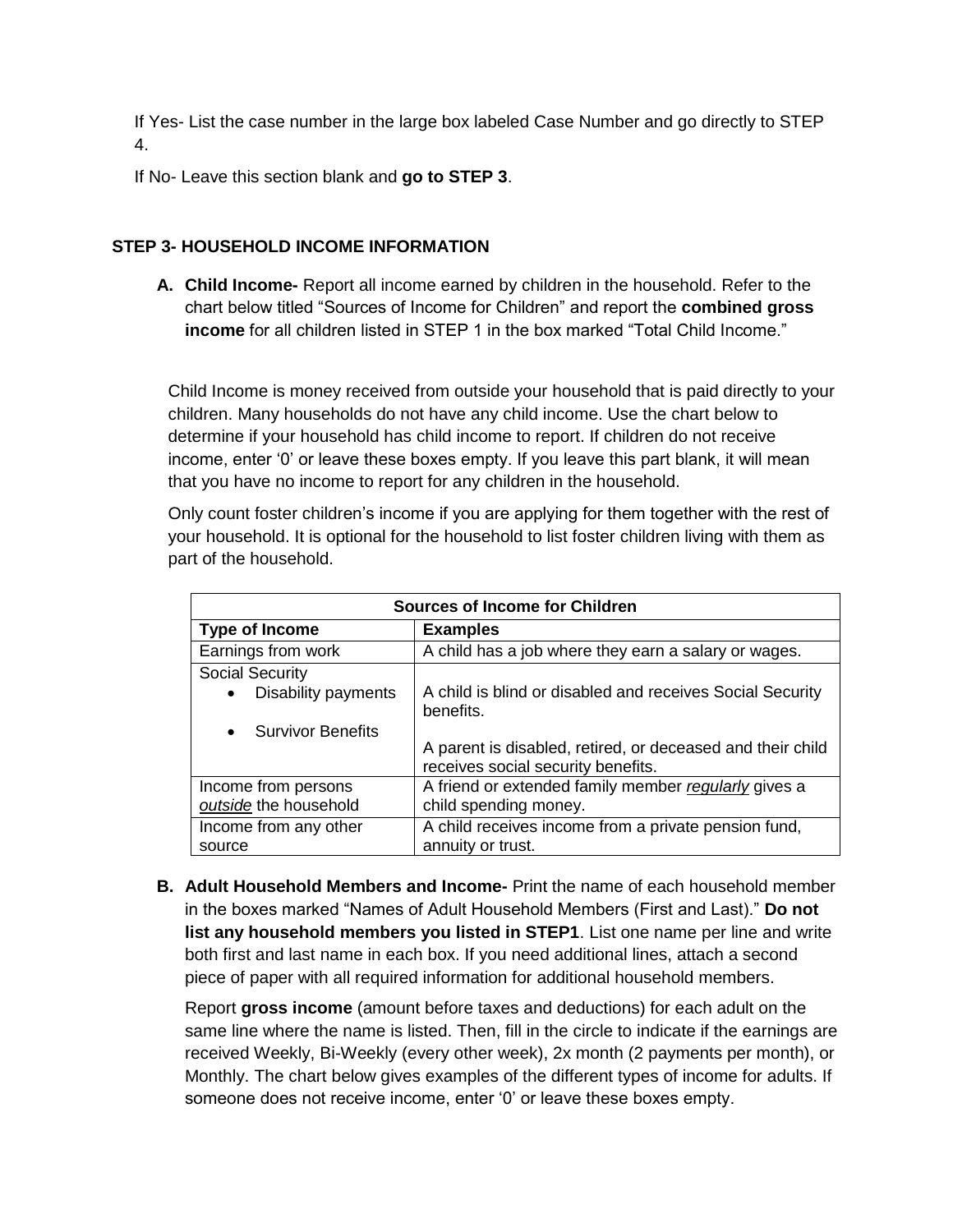If Yes- List the case number in the large box labeled Case Number and go directly to STEP 4.

If No- Leave this section blank and **go to STEP 3**.

# **STEP 3- HOUSEHOLD INCOME INFORMATION**

**A. Child Income-** Report all income earned by children in the household. Refer to the chart below titled "Sources of Income for Children" and report the **combined gross income** for all children listed in STEP 1 in the box marked "Total Child Income."

Child Income is money received from outside your household that is paid directly to your children. Many households do not have any child income. Use the chart below to determine if your household has child income to report. If children do not receive income, enter '0' or leave these boxes empty. If you leave this part blank, it will mean that you have no income to report for any children in the household.

Only count foster children's income if you are applying for them together with the rest of your household. It is optional for the household to list foster children living with them as part of the household.

| Sources of Income for Children |                                                                                                  |  |  |
|--------------------------------|--------------------------------------------------------------------------------------------------|--|--|
| Type of Income                 | <b>Examples</b>                                                                                  |  |  |
| Earnings from work             | A child has a job where they earn a salary or wages.                                             |  |  |
| <b>Social Security</b>         |                                                                                                  |  |  |
| Disability payments            | A child is blind or disabled and receives Social Security<br>benefits.                           |  |  |
| <b>Survivor Benefits</b>       |                                                                                                  |  |  |
|                                | A parent is disabled, retired, or deceased and their child<br>receives social security benefits. |  |  |
| Income from persons            | A friend or extended family member regularly gives a                                             |  |  |
| outside the household          | child spending money.                                                                            |  |  |
| Income from any other          | A child receives income from a private pension fund,                                             |  |  |
| source                         | annuity or trust.                                                                                |  |  |

**B. Adult Household Members and Income-** Print the name of each household member in the boxes marked "Names of Adult Household Members (First and Last)." **Do not list any household members you listed in STEP1**. List one name per line and write both first and last name in each box. If you need additional lines, attach a second piece of paper with all required information for additional household members.

Report **gross income** (amount before taxes and deductions) for each adult on the same line where the name is listed. Then, fill in the circle to indicate if the earnings are received Weekly, Bi-Weekly (every other week), 2x month (2 payments per month), or Monthly. The chart below gives examples of the different types of income for adults. If someone does not receive income, enter '0' or leave these boxes empty.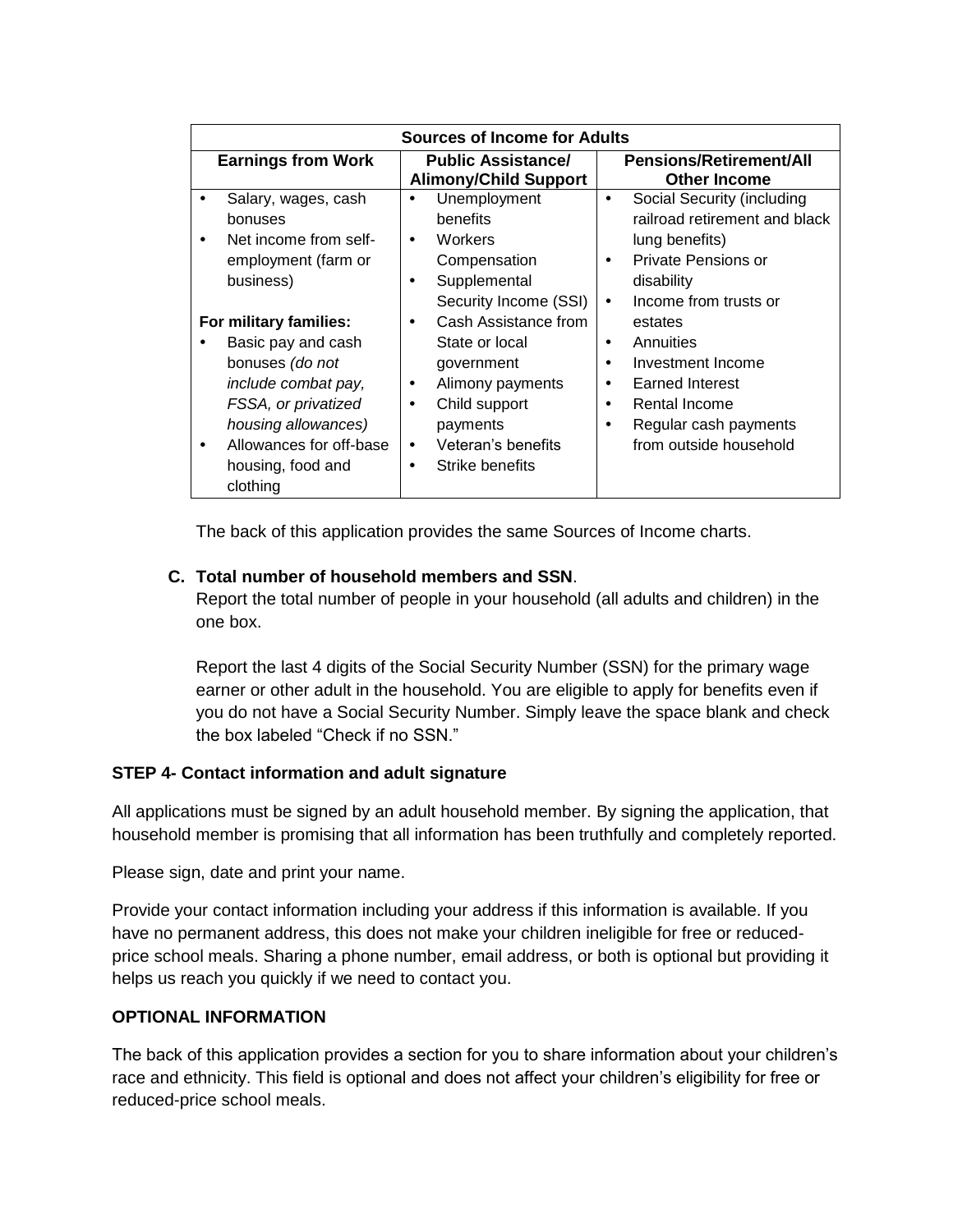| <b>Sources of Income for Adults</b>                                                                                                                                                                           |                                                                                                                                                                                                                 |                                                                                                                                                                    |
|---------------------------------------------------------------------------------------------------------------------------------------------------------------------------------------------------------------|-----------------------------------------------------------------------------------------------------------------------------------------------------------------------------------------------------------------|--------------------------------------------------------------------------------------------------------------------------------------------------------------------|
| <b>Earnings from Work</b>                                                                                                                                                                                     | <b>Public Assistance/</b><br><b>Alimony/Child Support</b>                                                                                                                                                       | <b>Pensions/Retirement/All</b><br><b>Other Income</b>                                                                                                              |
| Salary, wages, cash<br>bonuses<br>Net income from self-<br>$\bullet$<br>employment (farm or<br>business)                                                                                                      | Unemployment<br>benefits<br><b>Workers</b><br>$\bullet$<br>Compensation<br>Supplemental<br>$\bullet$<br>Security Income (SSI)                                                                                   | Social Security (including<br>٠<br>railroad retirement and black<br>lung benefits)<br>Private Pensions or<br>٠<br>disability<br>Income from trusts or<br>$\bullet$ |
| For military families:<br>Basic pay and cash<br>bonuses (do not<br>include combat pay,<br>FSSA, or privatized<br>housing allowances)<br>Allowances for off-base<br>$\bullet$<br>housing, food and<br>clothing | Cash Assistance from<br>$\bullet$<br>State or local<br>government<br>Alimony payments<br>$\bullet$<br>Child support<br>$\bullet$<br>payments<br>Veteran's benefits<br>$\bullet$<br>Strike benefits<br>$\bullet$ | estates<br>Annuities<br>٠<br>Investment Income<br>٠<br><b>Earned Interest</b><br>٠<br>Rental Income<br>٠<br>Regular cash payments<br>٠<br>from outside household   |

The back of this application provides the same Sources of Income charts.

# **C. Total number of household members and SSN**.

Report the total number of people in your household (all adults and children) in the one box.

Report the last 4 digits of the Social Security Number (SSN) for the primary wage earner or other adult in the household. You are eligible to apply for benefits even if you do not have a Social Security Number. Simply leave the space blank and check the box labeled "Check if no SSN."

### **STEP 4- Contact information and adult signature**

All applications must be signed by an adult household member. By signing the application, that household member is promising that all information has been truthfully and completely reported.

Please sign, date and print your name.

Provide your contact information including your address if this information is available. If you have no permanent address, this does not make your children ineligible for free or reducedprice school meals. Sharing a phone number, email address, or both is optional but providing it helps us reach you quickly if we need to contact you.

### **OPTIONAL INFORMATION**

The back of this application provides a section for you to share information about your children's race and ethnicity. This field is optional and does not affect your children's eligibility for free or reduced-price school meals.